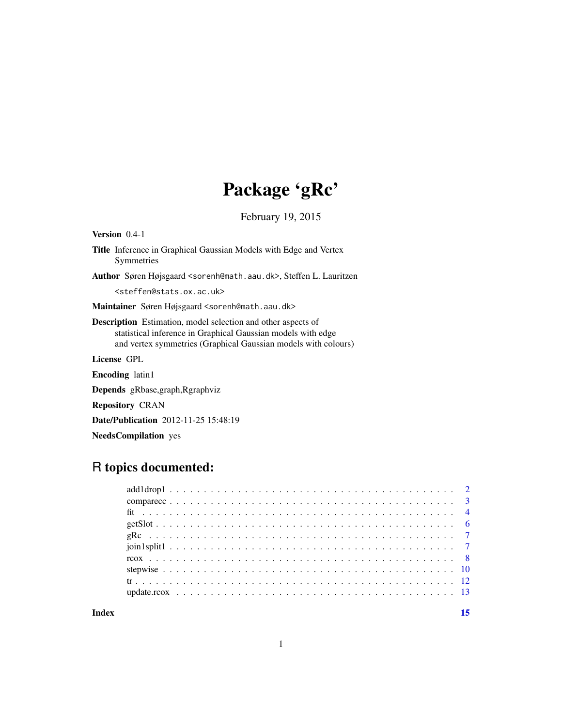# Package 'gRc'

February 19, 2015

<span id="page-0-0"></span>

| <b>Version</b> $0.4-1$                                                                                                                                                                                |
|-------------------------------------------------------------------------------------------------------------------------------------------------------------------------------------------------------|
| Title Inference in Graphical Gaussian Models with Edge and Vertex<br>Symmetries                                                                                                                       |
| <b>Author</b> Søren Højsgaard <sorenh@math.aau.dk>, Steffen L. Lauritzen</sorenh@math.aau.dk>                                                                                                         |
| <steffen@stats.ox.ac.uk></steffen@stats.ox.ac.uk>                                                                                                                                                     |
| Maintainer Søren Højsgaard <sorenh@math.aau.dk></sorenh@math.aau.dk>                                                                                                                                  |
| <b>Description</b> Estimation, model selection and other aspects of<br>statistical inference in Graphical Gaussian models with edge<br>and vertex symmetries (Graphical Gaussian models with colours) |
| License GPL                                                                                                                                                                                           |
| <b>Encoding</b> latin1                                                                                                                                                                                |
| <b>Depends</b> gRbase, graph, Rgraphyiz                                                                                                                                                               |
| <b>Repository CRAN</b>                                                                                                                                                                                |
| <b>Date/Publication</b> 2012-11-25 15:48:19                                                                                                                                                           |
| <b>NeedsCompilation</b> yes                                                                                                                                                                           |

## R topics documented:

**Index** [15](#page-14-0)

1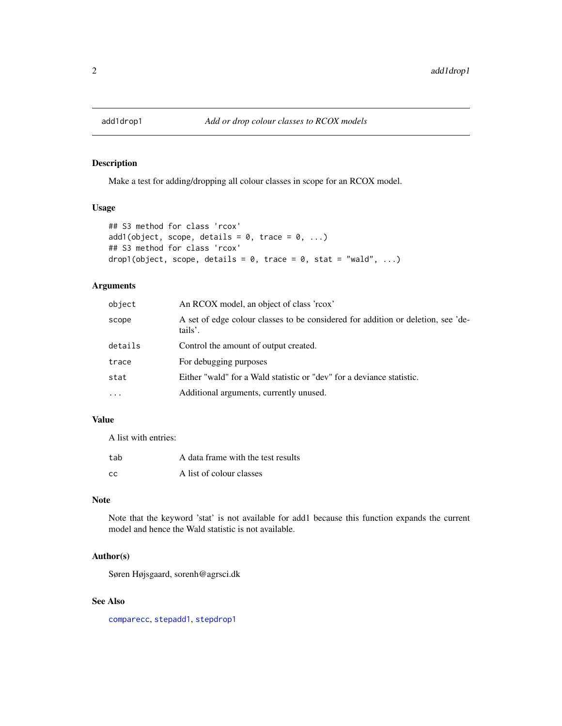<span id="page-1-1"></span><span id="page-1-0"></span>

Make a test for adding/dropping all colour classes in scope for an RCOX model.

#### Usage

```
## S3 method for class 'rcox'
add1(object, scope, details = 0, trace = 0, ...)## S3 method for class 'rcox'
drop1(object, scope, details = 0, trace = 0, stat = "wald", ...)
```
#### Arguments

| object    | An RCOX model, an object of class 'rcox'                                                    |
|-----------|---------------------------------------------------------------------------------------------|
| scope     | A set of edge colour classes to be considered for addition or deletion, see 'de-<br>tails'. |
| details   | Control the amount of output created.                                                       |
| trace     | For debugging purposes                                                                      |
| stat      | Either "wald" for a Wald statistic or "dev" for a deviance statistic.                       |
| $\ddotsc$ | Additional arguments, currently unused.                                                     |

#### Value

A list with entries:

| tab | A data frame with the test results |
|-----|------------------------------------|
| -CC | A list of colour classes           |

#### Note

Note that the keyword 'stat' is not available for add1 because this function expands the current model and hence the Wald statistic is not available.

#### Author(s)

Søren Højsgaard, sorenh@agrsci.dk

#### See Also

[comparecc](#page-2-1), [stepadd1](#page-9-1), [stepdrop1](#page-9-1)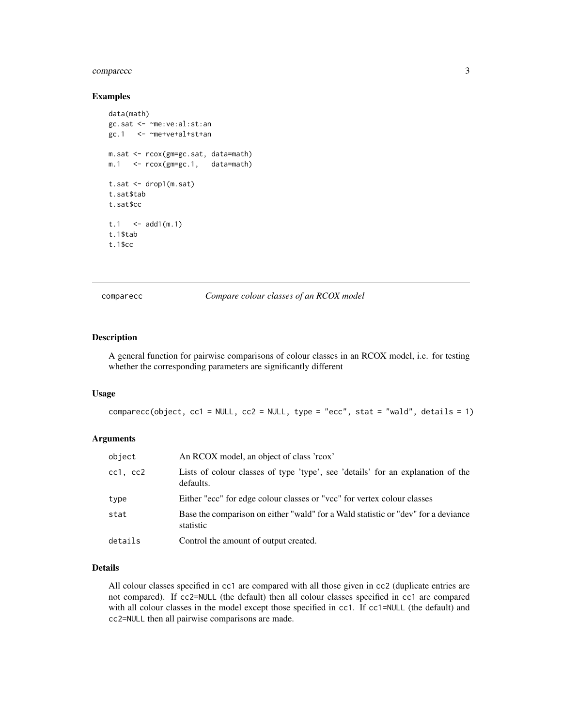#### <span id="page-2-0"></span>comparecc 3

#### Examples

```
data(math)
gc.sat <- ~me:ve:al:st:an
gc.1 <- ~me+ve+al+st+an
m.sat <- rcox(gm=gc.sat, data=math)
m.1 <- rcox(gm=gc.1, data=math)
t.sat <- drop1(m.sat)
t.sat$tab
t.sat$cc
t.1 <- add1(m.1)t.1$tab
t.1$cc
```
<span id="page-2-1"></span>comparecc *Compare colour classes of an RCOX model*

#### Description

A general function for pairwise comparisons of colour classes in an RCOX model, i.e. for testing whether the corresponding parameters are significantly different

#### Usage

comparecc(object, cc1 = NULL, cc2 = NULL, type = "ecc", stat = "wald", details = 1)

#### Arguments

| object   | An RCOX model, an object of class 'rcox'                                                       |
|----------|------------------------------------------------------------------------------------------------|
| cc1, cc2 | Lists of colour classes of type 'type', see 'details' for an explanation of the<br>defaults.   |
| type     | Either "ecc" for edge colour classes or "vcc" for vertex colour classes                        |
| stat     | Base the comparison on either "wald" for a Wald statistic or "dev" for a deviance<br>statistic |
| details  | Control the amount of output created.                                                          |

#### Details

All colour classes specified in cc1 are compared with all those given in cc2 (duplicate entries are not compared). If cc2=NULL (the default) then all colour classes specified in cc1 are compared with all colour classes in the model except those specified in cc1. If cc1=NULL (the default) and cc2=NULL then all pairwise comparisons are made.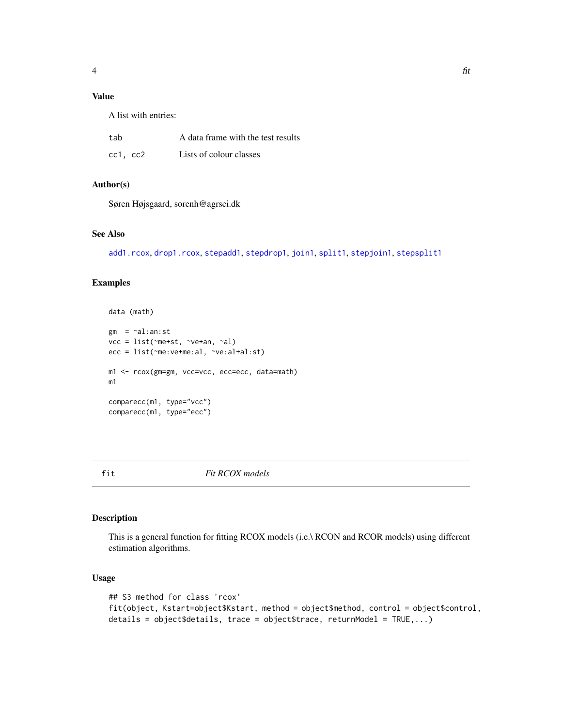#### <span id="page-3-0"></span>Value

A list with entries:

| tab      | A data frame with the test results |
|----------|------------------------------------|
| cc1, cc2 | Lists of colour classes            |

#### Author(s)

Søren Højsgaard, sorenh@agrsci.dk

#### See Also

[add1.rcox](#page-1-1), [drop1.rcox](#page-1-1), [stepadd1](#page-9-1), [stepdrop1](#page-9-1), [join1](#page-6-1), [split1](#page-6-1), [stepjoin1](#page-9-1), [stepsplit1](#page-9-1)

#### Examples

```
data (math)
gm = \neg al:an:stvcc = list(~me+st, ~ve+an, ~al)
ecc = list(~me:ve+me:al, ~ve:al+al:st)
m1 <- rcox(gm=gm, vcc=vcc, ecc=ecc, data=math)
m1
comparecc(m1, type="vcc")
comparecc(m1, type="ecc")
```
fit *Fit RCOX models*

#### Description

This is a general function for fitting RCOX models (i.e.\ RCON and RCOR models) using different estimation algorithms.

#### Usage

```
## S3 method for class 'rcox'
fit(object, Kstart=object$Kstart, method = object$method, control = object$control,
details = object$details, trace = object$trace, returnModel = TRUE,...)
```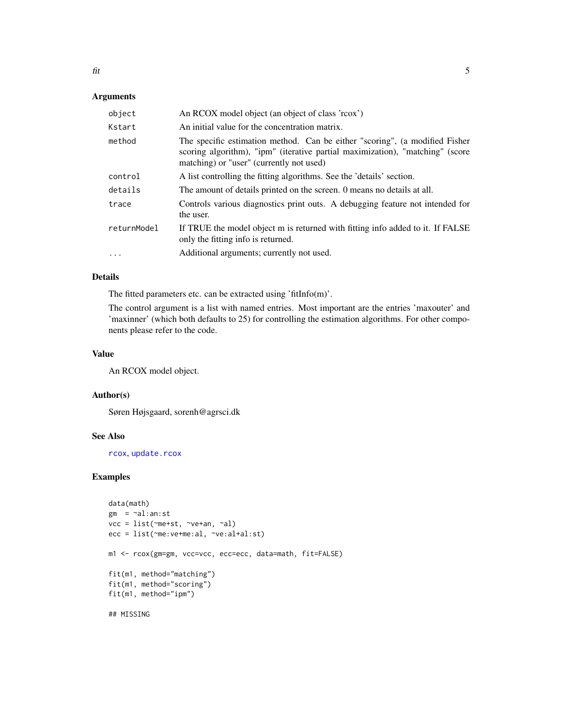#### <span id="page-4-0"></span>Arguments

| object      | An RCOX model object (an object of class 'rcox')                                                                                                                                                         |
|-------------|----------------------------------------------------------------------------------------------------------------------------------------------------------------------------------------------------------|
| Kstart      | An initial value for the concentration matrix.                                                                                                                                                           |
| method      | The specific estimation method. Can be either "scoring", (a modified Fisher<br>scoring algorithm), "ipm" (iterative partial maximization), "matching" (score<br>matching) or "user" (currently not used) |
| control     | A list controlling the fitting algorithms. See the 'details' section.                                                                                                                                    |
| details     | The amount of details printed on the screen. O means no details at all.                                                                                                                                  |
| trace       | Controls various diagnostics print outs. A debugging feature not intended for<br>the user.                                                                                                               |
| returnModel | If TRUE the model object m is returned with fitting info added to it. If FALSE<br>only the fitting info is returned.                                                                                     |
| $\cdots$    | Additional arguments; currently not used.                                                                                                                                                                |

#### Details

The fitted parameters etc. can be extracted using 'fitInfo(m)'.

The control argument is a list with named entries. Most important are the entries 'maxouter' and 'maxinner' (which both defaults to 25) for controlling the estimation algorithms. For other components please refer to the code.

#### Value

An RCOX model object.

#### Author(s)

Søren Højsgaard, sorenh@agrsci.dk

#### See Also

[rcox](#page-7-1), [update.rcox](#page-12-1)

#### Examples

```
data(math)
gm = \neg al:an:stvcc = list(~me+st, ~ve+an, ~al)
ecc = list(~me:ve+me:al, ~ve:al+al:st)
m1 <- rcox(gm=gm, vcc=vcc, ecc=ecc, data=math, fit=FALSE)
fit(m1, method="matching")
fit(m1, method="scoring")
fit(m1, method="ipm")
```
## MISSING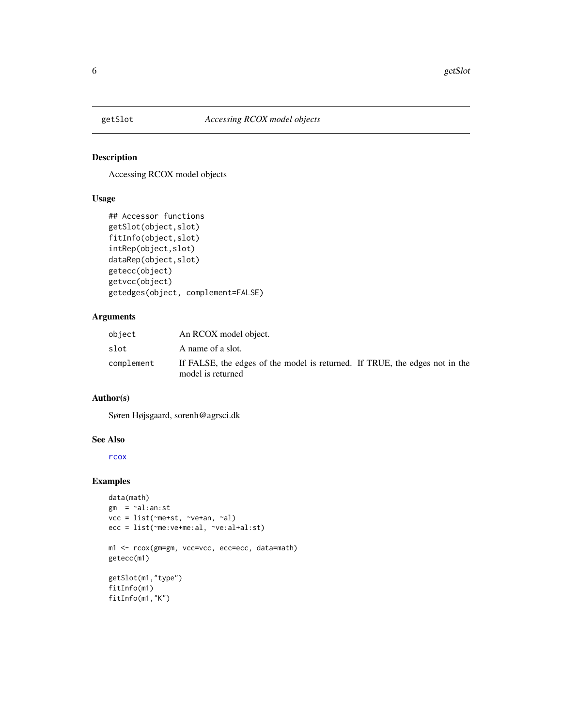<span id="page-5-0"></span>

Accessing RCOX model objects

#### Usage

```
## Accessor functions
getSlot(object,slot)
fitInfo(object,slot)
intRep(object,slot)
dataRep(object,slot)
getecc(object)
getvcc(object)
getedges(object, complement=FALSE)
```
#### Arguments

| object     | An RCOX model object.                                                                            |
|------------|--------------------------------------------------------------------------------------------------|
| slot       | A name of a slot.                                                                                |
| complement | If FALSE, the edges of the model is returned. If TRUE, the edges not in the<br>model is returned |

### Author(s)

Søren Højsgaard, sorenh@agrsci.dk

#### See Also

[rcox](#page-7-1)

#### Examples

```
data(math)
gm = \neg al:an:stvcc = list(~me+st, ~ve+an, ~al)
ecc = list(~me:ve+me:al, ~ve:al+al:st)
m1 <- rcox(gm=gm, vcc=vcc, ecc=ecc, data=math)
getecc(m1)
getSlot(m1,"type")
fitInfo(m1)
fitInfo(m1,"K")
```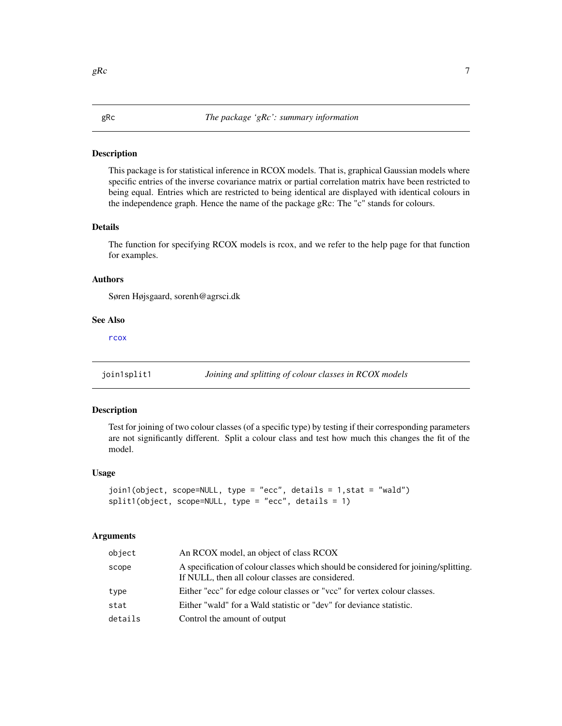<span id="page-6-0"></span>This package is for statistical inference in RCOX models. That is, graphical Gaussian models where specific entries of the inverse covariance matrix or partial correlation matrix have been restricted to being equal. Entries which are restricted to being identical are displayed with identical colours in the independence graph. Hence the name of the package gRc: The "c" stands for colours.

#### Details

The function for specifying RCOX models is rcox, and we refer to the help page for that function for examples.

#### Authors

Søren Højsgaard, sorenh@agrsci.dk

#### See Also

[rcox](#page-7-1)

join1split1 *Joining and splitting of colour classes in RCOX models*

#### <span id="page-6-1"></span>Description

Test for joining of two colour classes (of a specific type) by testing if their corresponding parameters are not significantly different. Split a colour class and test how much this changes the fit of the model.

#### Usage

```
join1(object, scope=NULL, type = "ecc", details = 1,stat = "wald")
split1(object, scope=NULL, type = "ecc", details = 1)
```
#### Arguments

| object  | An RCOX model, an object of class RCOX                                                                                                  |
|---------|-----------------------------------------------------------------------------------------------------------------------------------------|
| scope   | A specification of colour classes which should be considered for joining/splitting.<br>If NULL, then all colour classes are considered. |
| type    | Either "ecc" for edge colour classes or "vcc" for vertex colour classes.                                                                |
| stat    | Either "wald" for a Wald statistic or "dev" for deviance statistic.                                                                     |
| details | Control the amount of output                                                                                                            |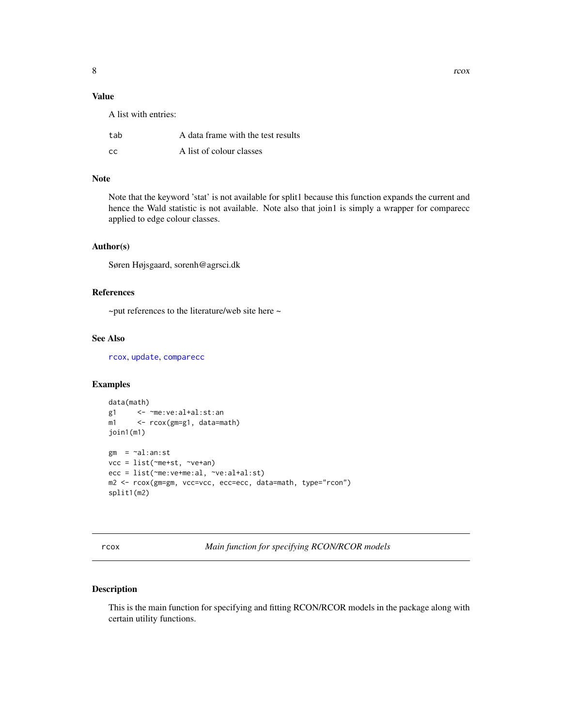<span id="page-7-0"></span>A list with entries:

| tab | A data frame with the test results |
|-----|------------------------------------|
| CC  | A list of colour classes           |

#### Note

Note that the keyword 'stat' is not available for split1 because this function expands the current and hence the Wald statistic is not available. Note also that join1 is simply a wrapper for comparecc applied to edge colour classes.

#### Author(s)

Søren Højsgaard, sorenh@agrsci.dk

#### References

 $\sim$ put references to the literature/web site here  $\sim$ 

#### See Also

[rcox](#page-7-1), [update](#page-0-0), [comparecc](#page-2-1)

#### Examples

```
data(math)
g1 <- ~me:ve:al+al:st:an
m1 <- rcox(gm=g1, data=math)
join1(m1)
gm = -al:an:stvcc = list(~me+st, ~ve+an)
ecc = list(~me:ve+me:al, ~ve:al+al:st)
m2 <- rcox(gm=gm, vcc=vcc, ecc=ecc, data=math, type="rcon")
split1(m2)
```
<span id="page-7-1"></span>rcox *Main function for specifying RCON/RCOR models*

#### Description

This is the main function for specifying and fitting RCON/RCOR models in the package along with certain utility functions.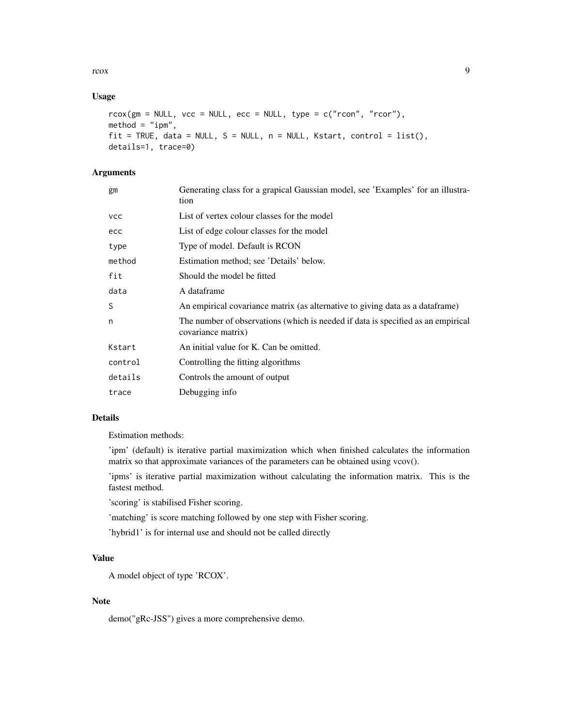#### rcox 9

#### Usage

```
r\text{cox}(\text{gm} = \text{NULL}, \text{vcc} = \text{NULL}, \text{ecc} = \text{NULL}, \text{type} = \text{c("rcon", "rcor"),}method = "ipm",fit = TRUE, data = NULL, S = NULL, n = NULL, Kstart, control = list(),
details=1, trace=0)
```
### Arguments

| gm         | Generating class for a grapical Gaussian model, see 'Examples' for an illustra-<br>tion                |
|------------|--------------------------------------------------------------------------------------------------------|
| <b>VCC</b> | List of vertex colour classes for the model                                                            |
| ecc        | List of edge colour classes for the model                                                              |
| type       | Type of model. Default is RCON                                                                         |
| method     | Estimation method; see 'Details' below.                                                                |
| fit        | Should the model be fitted                                                                             |
| data       | A dataframe                                                                                            |
| S          | An empirical covariance matrix (as alternative to giving data as a data frame)                         |
| n          | The number of observations (which is needed if data is specified as an empirical<br>covariance matrix) |
| Kstart     | An initial value for K. Can be omitted.                                                                |
| control    | Controlling the fitting algorithms                                                                     |
| details    | Controls the amount of output                                                                          |
| trace      | Debugging info                                                                                         |
|            |                                                                                                        |

#### Details

Estimation methods:

'ipm' (default) is iterative partial maximization which when finished calculates the information matrix so that approximate variances of the parameters can be obtained using vcov().

'ipms' is iterative partial maximization without calculating the information matrix. This is the fastest method.

'scoring' is stabilised Fisher scoring.

'matching' is score matching followed by one step with Fisher scoring.

'hybrid1' is for internal use and should not be called directly

#### Value

A model object of type 'RCOX'.

#### Note

demo("gRc-JSS") gives a more comprehensive demo.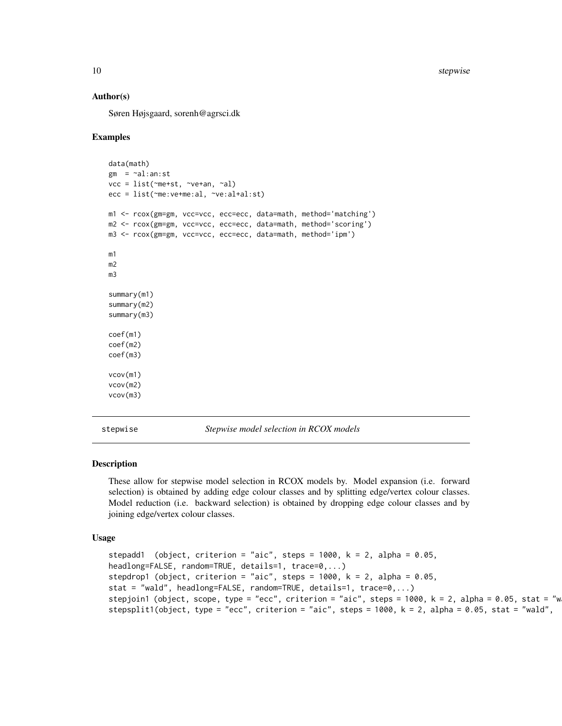#### Author(s)

Søren Højsgaard, sorenh@agrsci.dk

#### Examples

```
data(math)
 gm = \neg al:an:stvcc = list(~me+st, ~ve+an, ~al)
 ecc = list(~me:ve+me:al, ~ve:al+al:st)
 m1 <- rcox(gm=gm, vcc=vcc, ecc=ecc, data=math, method='matching')
 m2 <- rcox(gm=gm, vcc=vcc, ecc=ecc, data=math, method='scoring')
 m3 <- rcox(gm=gm, vcc=vcc, ecc=ecc, data=math, method='ipm')
 m1
 m2
 m3
 summary(m1)
 summary(m2)
 summary(m3)
 coef(m1)
 coef(m2)
 coef(m3)
 vcov(m1)
 vcov(m2)
 vcov(m3)
stepwise Stepwise model selection in RCOX models
```
## <span id="page-9-1"></span>Description

These allow for stepwise model selection in RCOX models by. Model expansion (i.e. forward selection) is obtained by adding edge colour classes and by splitting edge/vertex colour classes. Model reduction (i.e. backward selection) is obtained by dropping edge colour classes and by joining edge/vertex colour classes.

#### Usage

```
stepadd1 (object, criterion = "aic", steps = 1000, k = 2, alpha = 0.05,
headlong=FALSE, random=TRUE, details=1, trace=0,...)
stepdrop1 (object, criterion = "aic", steps = 1000, k = 2, alpha = 0.05,
stat = "wald", headlong=FALSE, random=TRUE, details=1, trace=0,...)
stepjoin1 (object, scope, type = "ecc", criterion = "aic", steps = 1000, k = 2, alpha = 0.05, stat = "w
stepsplit1(object, type = "ecc", criterion = "aic", steps = 1000, k = 2, alpha = 0.05, stat = "wald",
```
<span id="page-9-0"></span>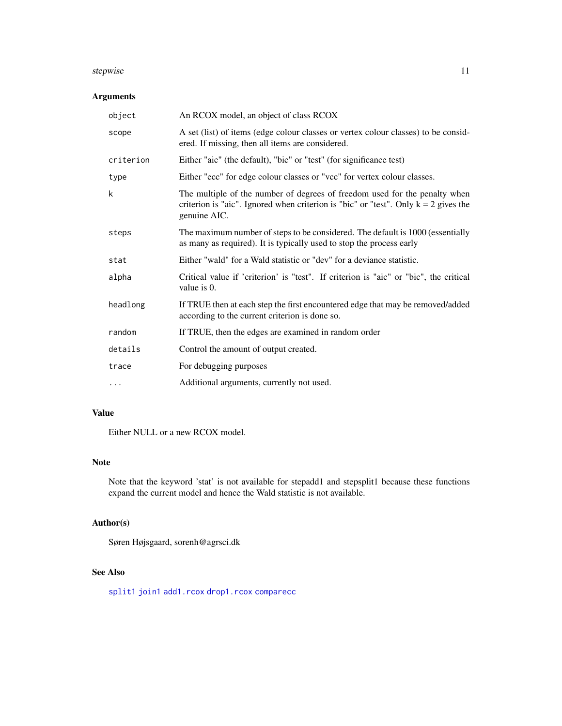#### <span id="page-10-0"></span>stepwise the contract of the contract of the contract of the contract of the contract of the contract of the contract of the contract of the contract of the contract of the contract of the contract of the contract of the c

#### Arguments

| object    | An RCOX model, an object of class RCOX                                                                                                                                              |
|-----------|-------------------------------------------------------------------------------------------------------------------------------------------------------------------------------------|
| scope     | A set (list) of items (edge colour classes or vertex colour classes) to be consid-<br>ered. If missing, then all items are considered.                                              |
| criterion | Either "aic" (the default), "bic" or "test" (for significance test)                                                                                                                 |
| type      | Either "ecc" for edge colour classes or "vcc" for vertex colour classes.                                                                                                            |
| k         | The multiple of the number of degrees of freedom used for the penalty when<br>criterion is "aic". Ignored when criterion is "bic" or "test". Only $k = 2$ gives the<br>genuine AIC. |
| steps     | The maximum number of steps to be considered. The default is 1000 (essentially<br>as many as required). It is typically used to stop the process early                              |
| stat      | Either "wald" for a Wald statistic or "dev" for a deviance statistic.                                                                                                               |
| alpha     | Critical value if 'criterion' is "test". If criterion is "aic" or "bic", the critical<br>value is $0$ .                                                                             |
| headlong  | If TRUE then at each step the first encountered edge that may be removed/added<br>according to the current criterion is done so.                                                    |
| random    | If TRUE, then the edges are examined in random order                                                                                                                                |
| details   | Control the amount of output created.                                                                                                                                               |
| trace     | For debugging purposes                                                                                                                                                              |
| $\cdots$  | Additional arguments, currently not used.                                                                                                                                           |

### Value

Either NULL or a new RCOX model.

#### Note

Note that the keyword 'stat' is not available for stepadd1 and stepsplit1 because these functions expand the current model and hence the Wald statistic is not available.

#### Author(s)

Søren Højsgaard, sorenh@agrsci.dk

## See Also

[split1](#page-6-1) [join1](#page-6-1) [add1.rcox](#page-1-1) [drop1.rcox](#page-1-1) [comparecc](#page-2-1)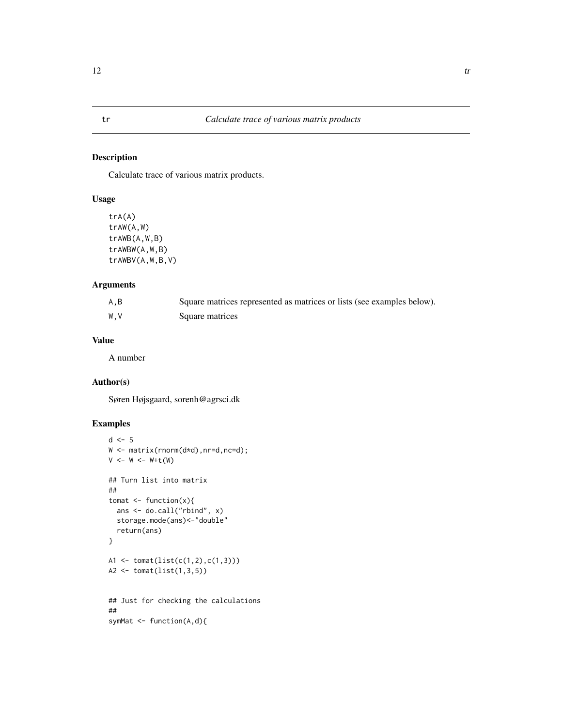<span id="page-11-0"></span>Calculate trace of various matrix products.

#### Usage

```
trA(A)
trAW(A,W)
trAWB(A,W,B)
trAWBW(A,W,B)
trAWBV(A,W,B,V)
```
#### Arguments

| A,B | Square matrices represented as matrices or lists (see examples below). |
|-----|------------------------------------------------------------------------|
| W.V | Square matrices                                                        |

#### Value

A number

#### Author(s)

Søren Højsgaard, sorenh@agrsci.dk

#### Examples

```
d \leq -5W <- matrix(rnorm(d*d),nr=d,nc=d);
V \leftarrow W \leftarrow W + t(W)## Turn list into matrix
##
tomat \leq function(x){
  ans <- do.call("rbind", x)
  storage.mode(ans)<-"double"
  return(ans)
}
A1 <- tomat(list(c(1,2),c(1,3)))
A2 <- tomat(list(1,3,5))
## Just for checking the calculations
##
symMat \leq function(A,d){
```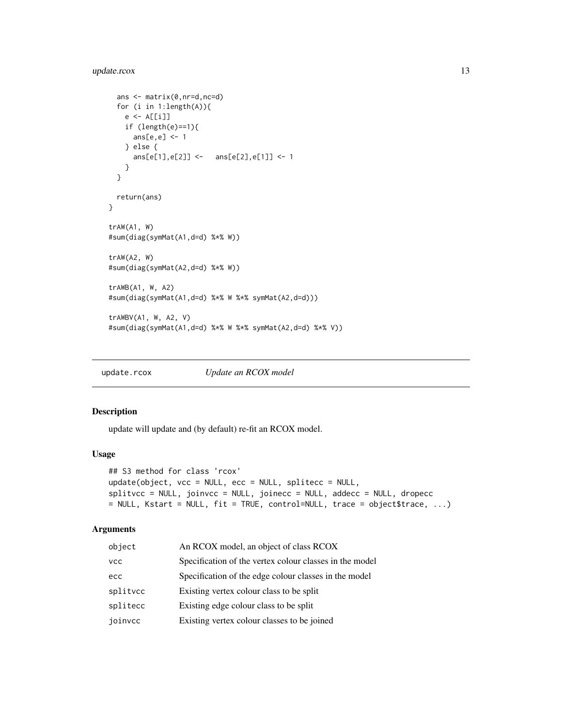#### <span id="page-12-0"></span>update.rcox 13

```
ans <- matrix(0,nr=d,nc=d)
 for (i in 1:length(A)){
   e <- A[[i]]
   if (length(e)=1){ans[e,e] <- 1
   } else {
     ans[e[1],e[2]] <- ans[e[2],e[1]] <- 1
   }
 }
 return(ans)
}
trAW(A1, W)
#sum(diag(symMat(A1,d=d) %*% W))
trAW(A2, W)
#sum(diag(symMat(A2,d=d) %*% W))
trAWB(A1, W, A2)
#sum(diag(symMat(A1,d=d) %*% W %*% symMat(A2,d=d)))
trAWBV(A1, W, A2, V)
#sum(diag(symMat(A1,d=d) %*% W %*% symMat(A2,d=d) %*% V))
```
<span id="page-12-1"></span>update.rcox *Update an RCOX model*

#### Description

update will update and (by default) re-fit an RCOX model.

#### Usage

```
## S3 method for class 'rcox'
update(object, vcc = NULL, ecc = NULL, splitecc = NULL,
splitvcc = NULL, joinvcc = NULL, joinecc = NULL, addecc = NULL, dropecc
= NULL, Kstart = NULL, fit = TRUE, control=NULL, trace = object$trace, ...)
```
#### Arguments

| object   | An RCOX model, an object of class RCOX                  |
|----------|---------------------------------------------------------|
| vcc      | Specification of the vertex colour classes in the model |
| ecc      | Specification of the edge colour classes in the model   |
| splitvcc | Existing vertex colour class to be split                |
| splitecc | Existing edge colour class to be split                  |
| joinvcc  | Existing vertex colour classes to be joined             |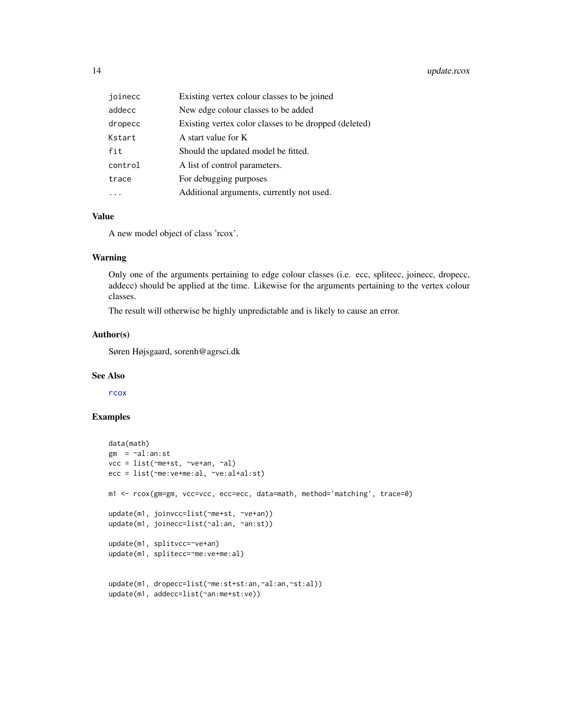<span id="page-13-0"></span>

| joinecc | Existing vertex colour classes to be joined           |
|---------|-------------------------------------------------------|
| addecc  | New edge colour classes to be added                   |
| dropecc | Existing vertex color classes to be dropped (deleted) |
| Kstart  | A start value for K                                   |
| fit     | Should the updated model be fitted.                   |
| control | A list of control parameters.                         |
| trace   | For debugging purposes                                |
|         | Additional arguments, currently not used.             |

#### Value

A new model object of class 'rcox'.

#### Warning

Only one of the arguments pertaining to edge colour classes (i.e. ecc, splitecc, joinecc, dropecc, addecc) should be applied at the time. Likewise for the arguments pertaining to the vertex colour classes.

The result will otherwise be highly unpredictable and is likely to cause an error.

#### Author(s)

Søren Højsgaard, sorenh@agrsci.dk

#### See Also

[rcox](#page-7-1)

#### Examples

```
data(math)
gm = -al:an:stvcc = list(~me+st, ~ve+an, ~al)
ecc = list(~me:ve+me:al, ~ve:al+al:st)
m1 <- rcox(gm=gm, vcc=vcc, ecc=ecc, data=math, method='matching', trace=0)
update(m1, joinvcc=list(~me+st, ~ve+an))
update(m1, joinecc=list(~al:an, ~an:st))
update(m1, splitvcc=~ve+an)
update(m1, splitecc=~me:ve+me:al)
update(m1, dropecc=list(~me:st+st:an,~al:an,~st:al))
update(m1, addecc=list(~an:me+st:ve))
```